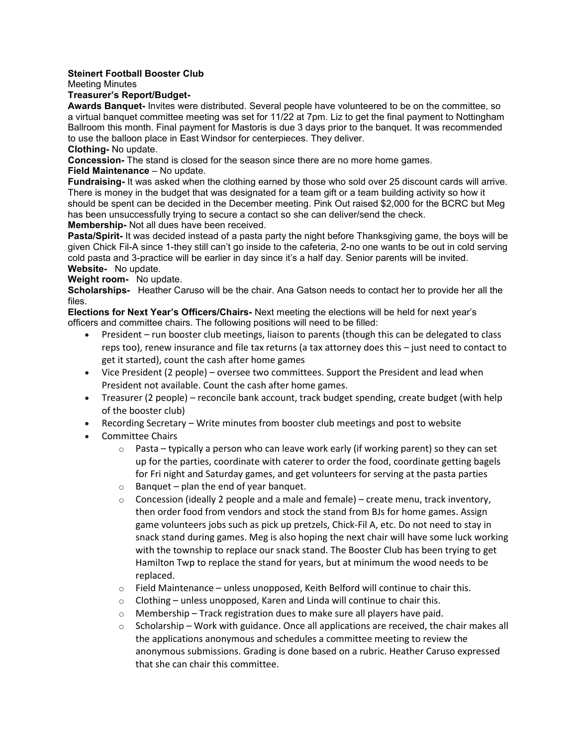# **Steinert Football Booster Club**

Meeting Minutes

# **Treasurer's Report/Budget-**

**Awards Banquet-** Invites were distributed. Several people have volunteered to be on the committee, so a virtual banquet committee meeting was set for 11/22 at 7pm. Liz to get the final payment to Nottingham Ballroom this month. Final payment for Mastoris is due 3 days prior to the banquet. It was recommended to use the balloon place in East Windsor for centerpieces. They deliver.

**Clothing-** No update.

**Concession-** The stand is closed for the season since there are no more home games.

## **Field Maintenance** – No update.

**Fundraising-** It was asked when the clothing earned by those who sold over 25 discount cards will arrive. There is money in the budget that was designated for a team gift or a team building activity so how it should be spent can be decided in the December meeting. Pink Out raised \$2,000 for the BCRC but Meg has been unsuccessfully trying to secure a contact so she can deliver/send the check.

## **Membership-** Not all dues have been received.

**Pasta/Spirit-** It was decided instead of a pasta party the night before Thanksgiving game, the boys will be given Chick Fil-A since 1-they still can't go inside to the cafeteria, 2-no one wants to be out in cold serving cold pasta and 3-practice will be earlier in day since it's a half day. Senior parents will be invited. **Website-** No update.

#### **Weight room-** No update.

**Scholarships-** Heather Caruso will be the chair. Ana Gatson needs to contact her to provide her all the files.

**Elections for Next Year's Officers/Chairs-** Next meeting the elections will be held for next year's officers and committee chairs. The following positions will need to be filled:

- President run booster club meetings, liaison to parents (though this can be delegated to class reps too), renew insurance and file tax returns (a tax attorney does this – just need to contact to get it started), count the cash after home games
- Vice President (2 people) oversee two committees. Support the President and lead when President not available. Count the cash after home games.
- Treasurer (2 people) reconcile bank account, track budget spending, create budget (with help of the booster club)
- Recording Secretary Write minutes from booster club meetings and post to website
- Committee Chairs
	- $\circ$  Pasta typically a person who can leave work early (if working parent) so they can set up for the parties, coordinate with caterer to order the food, coordinate getting bagels for Fri night and Saturday games, and get volunteers for serving at the pasta parties
	- $\circ$  Banquet plan the end of year banquet.
	- $\circ$  Concession (ideally 2 people and a male and female) create menu, track inventory, then order food from vendors and stock the stand from BJs for home games. Assign game volunteers jobs such as pick up pretzels, Chick-Fil A, etc. Do not need to stay in snack stand during games. Meg is also hoping the next chair will have some luck working with the township to replace our snack stand. The Booster Club has been trying to get Hamilton Twp to replace the stand for years, but at minimum the wood needs to be replaced.
	- $\circ$  Field Maintenance unless unopposed, Keith Belford will continue to chair this.
	- $\circ$  Clothing unless unopposed, Karen and Linda will continue to chair this.
	- $\circ$  Membership Track registration dues to make sure all players have paid.
	- $\circ$  Scholarship Work with guidance. Once all applications are received, the chair makes all the applications anonymous and schedules a committee meeting to review the anonymous submissions. Grading is done based on a rubric. Heather Caruso expressed that she can chair this committee.